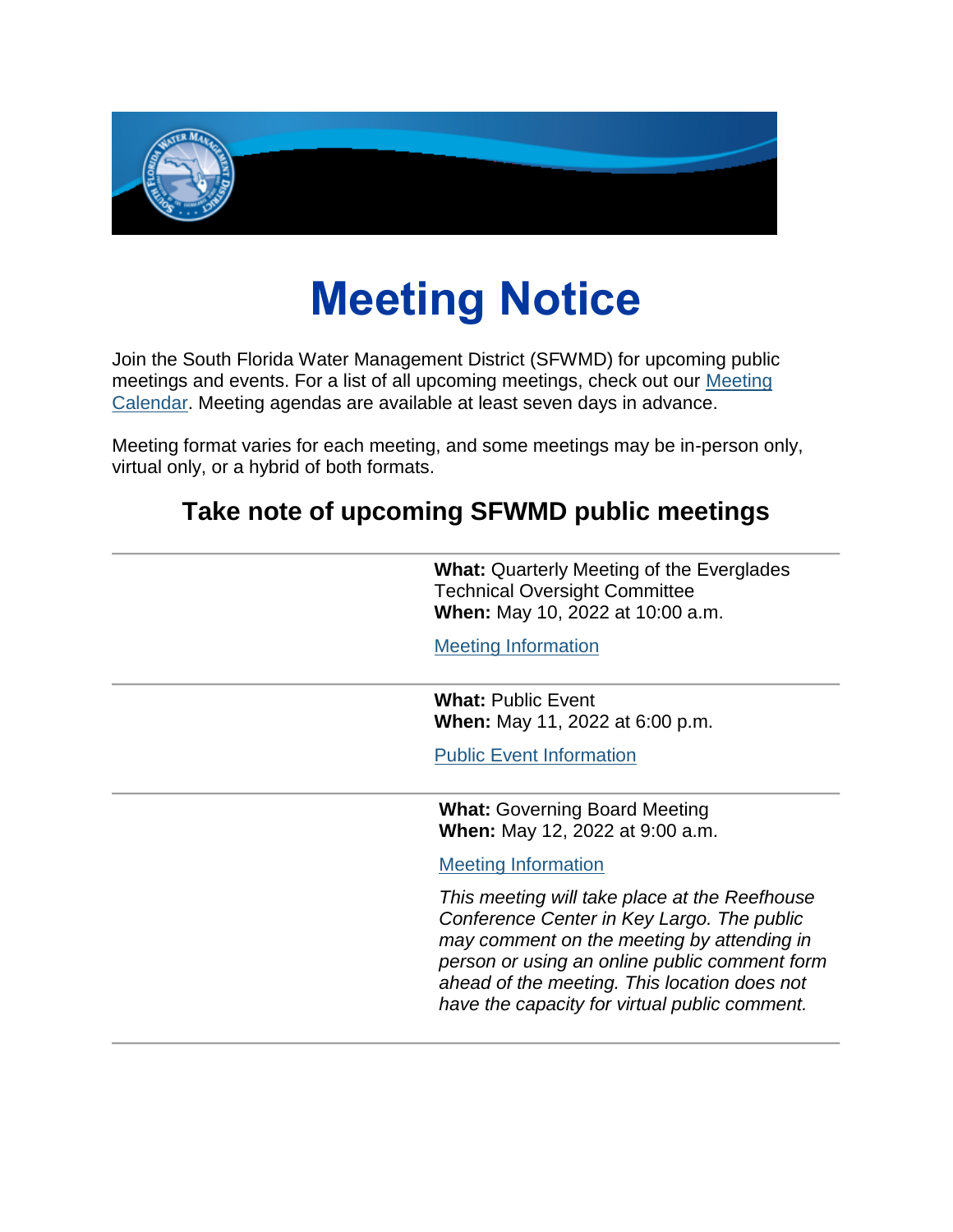

## **Meeting Notice**

Join the South Florida Water Management District (SFWMD) for upcoming public meetings and events. For a list of all upcoming meetings, check out our [Meeting](https://lnks.gd/l/eyJhbGciOiJIUzI1NiJ9.eyJidWxsZXRpbl9saW5rX2lkIjoxMDAsInVyaSI6ImJwMjpjbGljayIsImJ1bGxldGluX2lkIjoiMjAyMjA1MDkuNTc2MTEzNTEiLCJ1cmwiOiJodHRwczovL3d3dy5zZndtZC5nb3YvY2FsZW5kYXIvdG9kYXk_dXRtX21lZGl1bT1lbWFpbCZ1dG1fc291cmNlPWdvdmRlbGl2ZXJ5In0.sHEdZaoLTCku-fsrHJDAXleLMpwEMzqfCRwek3gJnwU/s/1292352698/br/131009583697-l)  [Calendar.](https://lnks.gd/l/eyJhbGciOiJIUzI1NiJ9.eyJidWxsZXRpbl9saW5rX2lkIjoxMDAsInVyaSI6ImJwMjpjbGljayIsImJ1bGxldGluX2lkIjoiMjAyMjA1MDkuNTc2MTEzNTEiLCJ1cmwiOiJodHRwczovL3d3dy5zZndtZC5nb3YvY2FsZW5kYXIvdG9kYXk_dXRtX21lZGl1bT1lbWFpbCZ1dG1fc291cmNlPWdvdmRlbGl2ZXJ5In0.sHEdZaoLTCku-fsrHJDAXleLMpwEMzqfCRwek3gJnwU/s/1292352698/br/131009583697-l) Meeting agendas are available at least seven days in advance.

Meeting format varies for each meeting, and some meetings may be in-person only, virtual only, or a hybrid of both formats.

## **Take note of upcoming SFWMD public meetings**

| <b>What:</b> Quarterly Meeting of the Everglades<br><b>Technical Oversight Committee</b><br>When: May 10, 2022 at 10:00 a.m.                                                                                                                                                                |
|---------------------------------------------------------------------------------------------------------------------------------------------------------------------------------------------------------------------------------------------------------------------------------------------|
| <b>Meeting Information</b>                                                                                                                                                                                                                                                                  |
| <b>What: Public Event</b><br><b>When:</b> May 11, 2022 at 6:00 p.m.                                                                                                                                                                                                                         |
| <b>Public Event Information</b>                                                                                                                                                                                                                                                             |
| <b>What: Governing Board Meeting</b><br><b>When:</b> May 12, 2022 at 9:00 a.m.                                                                                                                                                                                                              |
| <b>Meeting Information</b>                                                                                                                                                                                                                                                                  |
| This meeting will take place at the Reefhouse<br>Conference Center in Key Largo. The public<br>may comment on the meeting by attending in<br>person or using an online public comment form<br>ahead of the meeting. This location does not<br>have the capacity for virtual public comment. |
|                                                                                                                                                                                                                                                                                             |